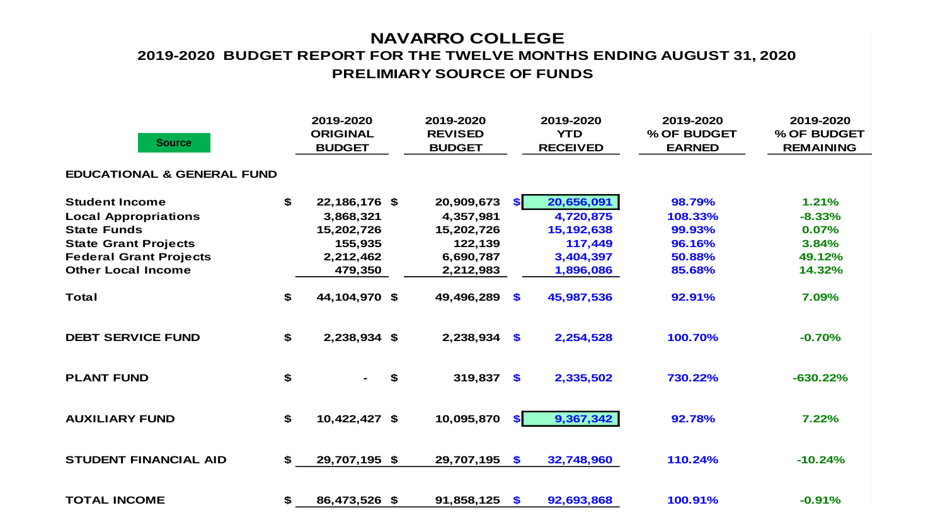### **NAVARRO COLLEGE PRELIMIARY SOURCE OF FUNDS 2019-2020 BUDGET REPORT FOR THE TWELVE MONTHS ENDING AUGUST 31, 2020**

| <b>Source</b>                         | 2019-2020<br><b>ORIGINAL</b><br><b>BUDGET</b> | 2019-2020<br><b>REVISED</b><br><b>BUDGET</b> |               | 2019-2020<br><b>YTD</b><br><b>RECEIVED</b> | 2019-2020<br>% OF BUDGET<br><b>EARNED</b> | 2019-2020<br>% OF BUDGET<br><b>REMAINING</b> |
|---------------------------------------|-----------------------------------------------|----------------------------------------------|---------------|--------------------------------------------|-------------------------------------------|----------------------------------------------|
| <b>EDUCATIONAL &amp; GENERAL FUND</b> |                                               |                                              |               |                                            |                                           |                                              |
| <b>Student Income</b>                 | \$<br>22,186,176 \$                           | 20,909,673                                   | <b>SI</b>     | 20,656,091                                 | 98.79%                                    | 1.21%                                        |
| <b>Local Appropriations</b>           | 3,868,321                                     | 4,357,981                                    |               | 4,720,875                                  | 108.33%                                   | $-8.33%$                                     |
| <b>State Funds</b>                    | 15,202,726                                    | 15,202,726                                   |               | 15, 192, 638                               | 99.93%                                    | 0.07%                                        |
| <b>State Grant Projects</b>           | 155,935                                       | 122,139                                      |               | 117,449                                    | 96.16%                                    | 3.84%                                        |
| <b>Federal Grant Projects</b>         | 2,212,462                                     | 6,690,787                                    |               | 3,404,397                                  | 50.88%                                    | 49.12%                                       |
| <b>Other Local Income</b>             | 479,350                                       | 2,212,983                                    |               | 1,896,086                                  | 85.68%                                    | 14.32%                                       |
| <b>Total</b>                          | \$<br>44,104,970 \$                           | 49,496,289                                   | $\mathbf{\$}$ | 45,987,536                                 | 92.91%                                    | 7.09%                                        |
| <b>DEBT SERVICE FUND</b>              | \$<br>2,238,934 \$                            | 2,238,934                                    | \$            | 2,254,528                                  | 100.70%                                   | $-0.70%$                                     |
| <b>PLANT FUND</b>                     | \$<br>\$<br>$\sim$                            | 319,837                                      | \$            | 2,335,502                                  | 730.22%                                   | $-630.22%$                                   |
| <b>AUXILIARY FUND</b>                 | \$<br>10,422,427 \$                           | 10,095,870                                   | \$I           | 9,367,342                                  | 92.78%                                    | 7.22%                                        |
| <b>STUDENT FINANCIAL AID</b>          | \$<br>29,707,195 \$                           | 29,707,195                                   | \$            | 32,748,960                                 | 110.24%                                   | $-10.24%$                                    |
| <b>TOTAL INCOME</b>                   | \$<br>86,473,526 \$                           | 91,858,125                                   | $\mathbf{\$}$ | 92,693,868                                 | 100.91%                                   | $-0.91%$                                     |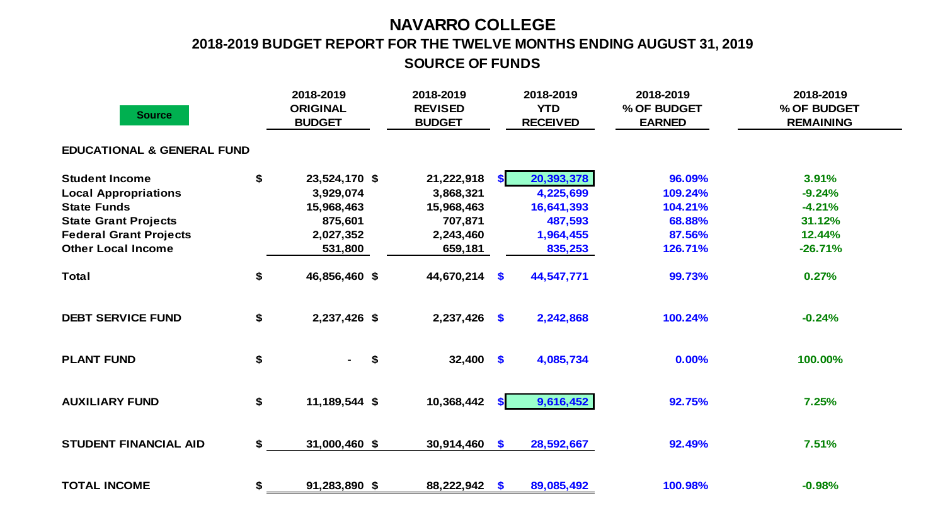### **NAVARRO COLLEGE**

# **2018-2019 BUDGET REPORT FOR THE TWELVE MONTHS ENDING AUGUST 31, 2019**

**SOURCE OF FUNDS**

| <b>Source</b>                         | 2018-2019<br><b>ORIGINAL</b><br><b>BUDGET</b> | 2018-2019<br><b>REVISED</b><br><b>BUDGET</b> |               | 2018-2019<br><b>YTD</b><br><b>RECEIVED</b> | 2018-2019<br>% OF BUDGET<br><b>EARNED</b> | 2018-2019<br>% OF BUDGET<br><b>REMAINING</b> |
|---------------------------------------|-----------------------------------------------|----------------------------------------------|---------------|--------------------------------------------|-------------------------------------------|----------------------------------------------|
| <b>EDUCATIONAL &amp; GENERAL FUND</b> |                                               |                                              |               |                                            |                                           |                                              |
| <b>Student Income</b>                 | \$<br>23,524,170 \$                           | 21,222,918                                   | <b>SI</b>     | 20,393,378                                 | 96.09%                                    | 3.91%                                        |
| <b>Local Appropriations</b>           | 3,929,074                                     | 3,868,321                                    |               | 4,225,699                                  | 109.24%                                   | $-9.24%$                                     |
| <b>State Funds</b>                    | 15,968,463                                    | 15,968,463                                   |               | 16,641,393                                 | 104.21%                                   | $-4.21%$                                     |
| <b>State Grant Projects</b>           | 875,601                                       | 707,871                                      |               | 487,593                                    | 68.88%                                    | 31.12%                                       |
| <b>Federal Grant Projects</b>         | 2,027,352                                     | 2,243,460                                    |               | 1,964,455                                  | 87.56%                                    | 12.44%                                       |
| <b>Other Local Income</b>             | 531,800                                       | 659,181                                      |               | 835,253                                    | 126.71%                                   | $-26.71%$                                    |
| <b>Total</b>                          | \$<br>46,856,460 \$                           | 44,670,214                                   | $\mathbf{\$}$ | 44,547,771                                 | 99.73%                                    | 0.27%                                        |
| <b>DEBT SERVICE FUND</b>              | \$<br>2,237,426 \$                            | $2,237,426$ \$                               |               | 2,242,868                                  | 100.24%                                   | $-0.24%$                                     |
| <b>PLANT FUND</b>                     | \$<br>$\blacksquare$                          | $32,400$ \$<br>\$                            |               | 4,085,734                                  | 0.00%                                     | 100.00%                                      |
| <b>AUXILIARY FUND</b>                 | \$<br>11,189,544 \$                           | 10,368,442                                   | <b>SI</b>     | 9,616,452                                  | 92.75%                                    | 7.25%                                        |
| <b>STUDENT FINANCIAL AID</b>          | \$<br>31,000,460 \$                           | $30,914,460$ \$                              |               | 28,592,667                                 | 92.49%                                    | 7.51%                                        |
| <b>TOTAL INCOME</b>                   | \$<br>91,283,890 \$                           | 88,222,942                                   | $\mathbf{s}$  | 89,085,492                                 | 100.98%                                   | $-0.98%$                                     |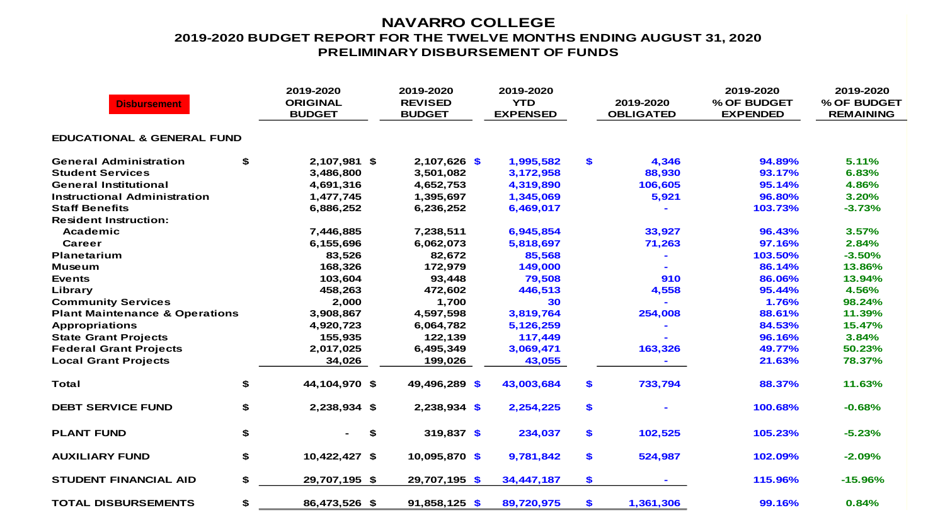#### **NAVARRO COLLEGE 2019-2020 BUDGET REPORT FOR THE TWELVE MONTHS ENDING AUGUST 31, 2020 PRELIMINARY DISBURSEMENT OF FUNDS**

| <b>Disbursement</b>                       | 2019-2020<br><b>ORIGINAL</b><br><b>BUDGET</b> | 2019-2020<br><b>REVISED</b><br><b>BUDGET</b> | 2019-2020<br><b>YTD</b><br><b>EXPENSED</b> | 2019-2020<br><b>OBLIGATED</b> | 2019-2020<br>% OF BUDGET<br><b>EXPENDED</b> | 2019-2020<br>% OF BUDGET<br><b>REMAINING</b> |
|-------------------------------------------|-----------------------------------------------|----------------------------------------------|--------------------------------------------|-------------------------------|---------------------------------------------|----------------------------------------------|
| <b>EDUCATIONAL &amp; GENERAL FUND</b>     |                                               |                                              |                                            |                               |                                             |                                              |
| <b>General Administration</b>             | \$<br>2,107,981 \$                            | $2,107,626$ \$                               | 1,995,582                                  | \$<br>4,346                   | 94.89%                                      | 5.11%                                        |
| <b>Student Services</b>                   | 3,486,800                                     | 3,501,082                                    | 3,172,958                                  | 88,930                        | 93.17%                                      | 6.83%                                        |
| <b>General Institutional</b>              | 4,691,316                                     | 4,652,753                                    | 4,319,890                                  | 106,605                       | 95.14%                                      | 4.86%                                        |
| Instructional Administration              | 1,477,745                                     | 1,395,697                                    | 1,345,069                                  | 5,921                         | 96.80%                                      | 3.20%                                        |
| <b>Staff Benefits</b>                     | 6,886,252                                     | 6,236,252                                    | 6,469,017                                  |                               | 103.73%                                     | $-3.73%$                                     |
| <b>Resident Instruction:</b>              |                                               |                                              |                                            |                               |                                             |                                              |
| Academic                                  | 7,446,885                                     | 7,238,511                                    | 6,945,854                                  | 33,927                        | 96.43%                                      | 3.57%                                        |
| Career                                    | 6,155,696                                     | 6,062,073                                    | 5,818,697                                  | 71,263                        | 97.16%                                      | 2.84%                                        |
| Planetarium                               | 83,526                                        | 82,672                                       | 85,568                                     |                               | 103.50%                                     | $-3.50%$                                     |
| <b>Museum</b>                             | 168,326                                       | 172,979                                      | 149,000                                    |                               | 86.14%                                      | 13.86%                                       |
| <b>Events</b>                             | 103,604                                       | 93,448                                       | 79,508                                     | 910                           | 86.06%                                      | 13.94%                                       |
| Library                                   | 458,263                                       | 472,602                                      | 446,513                                    | 4,558                         | 95.44%                                      | 4.56%                                        |
| <b>Community Services</b>                 | 2,000                                         | 1,700                                        | 30                                         |                               | 1.76%                                       | 98.24%                                       |
| <b>Plant Maintenance &amp; Operations</b> | 3,908,867                                     | 4,597,598                                    | 3,819,764                                  | 254,008                       | 88.61%                                      | 11.39%                                       |
| <b>Appropriations</b>                     | 4,920,723                                     | 6,064,782                                    | 5,126,259                                  |                               | 84.53%                                      | 15.47%                                       |
| <b>State Grant Projects</b>               | 155,935                                       | 122,139                                      | 117,449                                    |                               | 96.16%                                      | 3.84%                                        |
| <b>Federal Grant Projects</b>             | 2,017,025                                     | 6,495,349                                    | 3,069,471                                  | 163,326                       | 49.77%                                      | 50.23%                                       |
| <b>Local Grant Projects</b>               | 34,026                                        | 199,026                                      | 43,055                                     |                               | 21.63%                                      | 78.37%                                       |
| Total                                     | \$<br>44,104,970 \$                           | 49,496,289 \$                                | 43,003,684                                 | \$<br>733,794                 | 88.37%                                      | 11.63%                                       |
| <b>DEBT SERVICE FUND</b>                  | \$<br>2,238,934 \$                            | $2,238,934$ \$                               | 2,254,225                                  | \$                            | 100.68%                                     | $-0.68%$                                     |
| <b>PLANT FUND</b>                         | \$<br>\$                                      | 319,837 \$                                   | 234,037                                    | \$<br>102,525                 | 105.23%                                     | $-5.23%$                                     |
| <b>AUXILIARY FUND</b>                     | \$<br>10,422,427 \$                           | 10,095,870 \$                                | 9,781,842                                  | \$<br>524,987                 | 102.09%                                     | $-2.09%$                                     |
| <b>STUDENT FINANCIAL AID</b>              | \$<br>29,707,195 \$                           | 29,707,195 \$                                | 34,447,187                                 | \$                            | 115.96%                                     | $-15.96%$                                    |
| <b>TOTAL DISBURSEMENTS</b>                | \$<br>86,473,526 \$                           | $91,858,125$ \$                              | 89,720,975                                 | \$<br>1,361,306               | 99.16%                                      | 0.84%                                        |